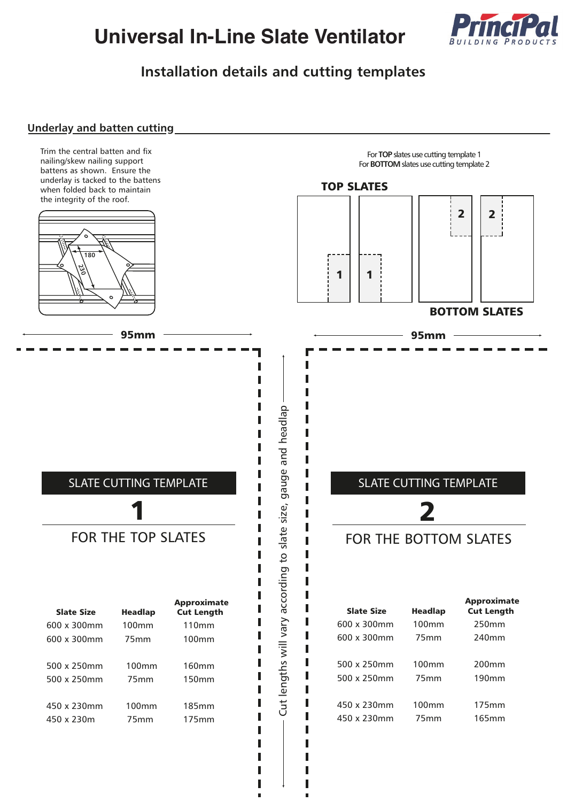# **Universal In-Line Slate Ventilator**



### **Installation details and cutting templates**

#### **Underlay and batten cutting**